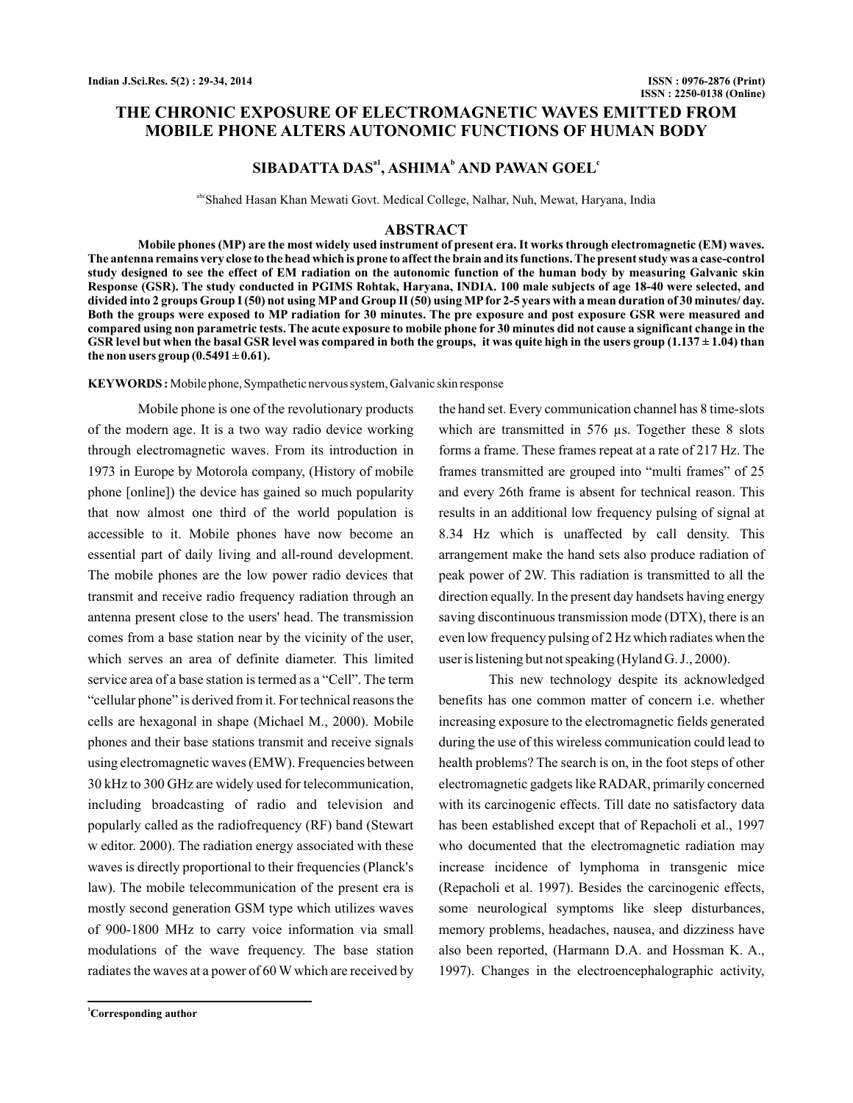# **THE CHRONIC EXPOSURE OF ELECTROMAGNETIC WAVES EMITTED FROM MOBILE PHONE ALTERS AUTONOMIC FUNCTIONS OF HUMAN BODY**

# $SIBADATTA DAS<sup>al</sup>$ ,  $ASHIMA<sup>b</sup> AND PAWAN GOEL<sup>c</sup>$

abcShahed Hasan Khan Mewati Govt. Medical College, Nalhar, Nuh, Mewat, Haryana, India

### **ABSTRACT**

**Mobile phones (MP) are the most widely used instrument of present era. It works through electromagnetic (EM) waves. The antenna remains very close to the head which is prone to affect the brain and its functions. The present study was a case-control study designed to see the effect of EM radiation on the autonomic function of the human body by measuring Galvanic skin Response (GSR). The study conducted in PGIMS Rohtak, Haryana, INDIA. 100 male subjects of age 18-40 were selected, and divided into 2 groups Group I (50) not using MP and Group II (50) using MP for 2-5 years with a mean duration of 30 minutes/ day. Both the groups were exposed to MP radiation for 30 minutes. The pre exposure and post exposure GSR were measured and compared using non parametric tests. The acute exposure to mobile phone for 30 minutes did not cause a significant change in the GSR level but when the basal GSR level was compared in both the groups, it was quite high in the users group (1.137 ± 1.04) than** the non users group  $(0.5491 \pm 0.61)$ .

**KEYWORDS :** Mobile phone, Sympathetic nervous system, Galvanic skin response

Mobile phone is one of the revolutionary products of the modern age. It is a two way radio device working through electromagnetic waves. From its introduction in 1973 in Europe by Motorola company, (History of mobile phone [online]) the device has gained so much popularity that now almost one third of the world population is accessible to it. Mobile phones have now become an essential part of daily living and all-round development. The mobile phones are the low power radio devices that transmit and receive radio frequency radiation through an antenna present close to the users' head. The transmission comes from a base station near by the vicinity of the user, which serves an area of definite diameter. This limited service area of a base station is termed as a "Cell". The term "cellular phone" is derived from it. For technical reasons the cells are hexagonal in shape (Michael M., 2000). Mobile phones and their base stations transmit and receive signals using electromagnetic waves (EMW). Frequencies between 30 kHz to 300 GHz are widely used for telecommunication, including broadcasting of radio and television and popularly called as the radiofrequency (RF) band (Stewart w editor. 2000). The radiation energy associated with these waves is directly proportional to their frequencies (Planck's law). The mobile telecommunication of the present era is mostly second generation GSM type which utilizes waves of 900-1800 MHz to carry voice information via small modulations of the wave frequency. The base station radiates the waves at a power of 60 W which are received by

**<sup>1</sup>Corresponding author**

the hand set. Every communication channel has 8 time-slots which are transmitted in 576  $\mu$ s. Together these 8 slots forms a frame. These frames repeat at a rate of 217 Hz. The frames transmitted are grouped into "multi frames" of 25 and every 26th frame is absent for technical reason. This results in an additional low frequency pulsing of signal at 8.34 Hz which is unaffected by call density. This arrangement make the hand sets also produce radiation of peak power of 2W. This radiation is transmitted to all the direction equally. In the present day handsets having energy saving discontinuous transmission mode (DTX), there is an even low frequency pulsing of 2 Hz which radiates when the user is listening but not speaking (Hyland G. J., 2000).

This new technology despite its acknowledged benefits has one common matter of concern i.e. whether increasing exposure to the electromagnetic fields generated during the use of this wireless communication could lead to health problems? The search is on, in the foot steps of other electromagnetic gadgets like RADAR, primarily concerned with its carcinogenic effects. Till date no satisfactory data has been established except that of Repacholi et al., 1997 who documented that the electromagnetic radiation may increase incidence of lymphoma in transgenic mice (Repacholi et al. 1997). Besides the carcinogenic effects, some neurological symptoms like sleep disturbances, memory problems, headaches, nausea, and dizziness have also been reported, (Harmann D.A. and Hossman K. A., 1997). Changes in the electroencephalographic activity,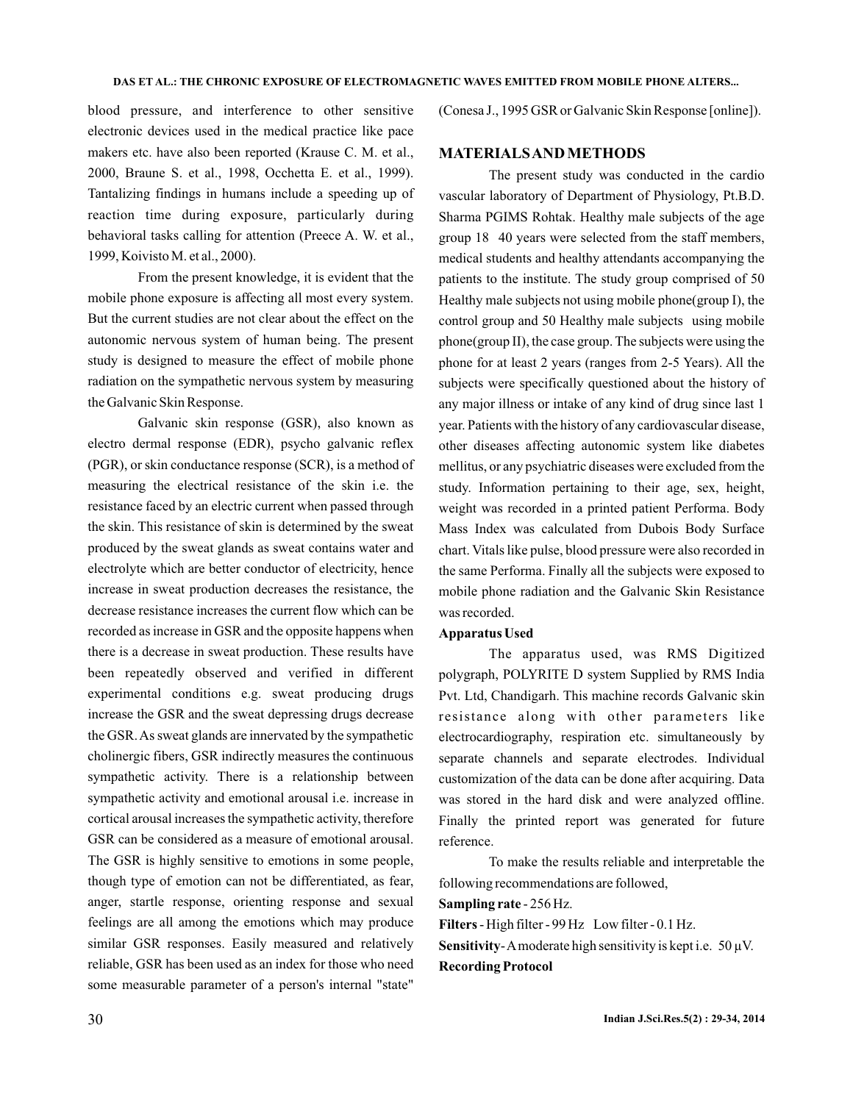blood pressure, and interference to other sensitive electronic devices used in the medical practice like pace makers etc. have also been reported (Krause C. M. et al., 2000, Braune S. et al., 1998, Occhetta E. et al., 1999). Tantalizing findings in humans include a speeding up of reaction time during exposure, particularly during behavioral tasks calling for attention (Preece A. W. et al., 1999, Koivisto M. et al., 2000).

From the present knowledge, it is evident that the mobile phone exposure is affecting all most every system. But the current studies are not clear about the effect on the autonomic nervous system of human being. The present study is designed to measure the effect of mobile phone radiation on the sympathetic nervous system by measuring the Galvanic Skin Response.

Galvanic skin response (GSR), also known as electro dermal response (EDR), psycho galvanic reflex (PGR), or skin conductance response (SCR), is a method of measuring the electrical resistance of the skin i.e. the resistance faced by an electric current when passed through the skin. This resistance of skin is determined by the sweat produced by the sweat glands as sweat contains water and electrolyte which are better conductor of electricity, hence increase in sweat production decreases the resistance, the decrease resistance increases the current flow which can be recorded as increase in GSR and the opposite happens when there is a decrease in sweat production. These results have been repeatedly observed and verified in different experimental conditions e.g. sweat producing drugs increase the GSR and the sweat depressing drugs decrease the GSR.As sweat glands are innervated by the sympathetic cholinergic fibers, GSR indirectly measures the continuous sympathetic activity. There is a relationship between sympathetic activity and emotional arousal i.e. increase in cortical arousal increases the sympathetic activity, therefore GSR can be considered as a measure of emotional arousal. The GSR is highly sensitive to emotions in some people, though type of emotion can not be differentiated, as fear, anger, startle response, orienting response and sexual feelings are all among the emotions which may produce similar GSR responses. Easily measured and relatively reliable, GSR has been used as an index for those who need some measurable parameter of a person's internal "state"

(Conesa J., 1995 GSR or Galvanic Skin Response [online]).

## **MATERIALSANDMETHODS**

The present study was conducted in the cardio vascular laboratory of Department of Physiology, Pt.B.D. Sharma PGIMS Rohtak. Healthy male subjects of the age group 18 40 years were selected from the staff members, medical students and healthy attendants accompanying the patients to the institute. The study group comprised of 50 Healthy male subjects not using mobile phone(group I), the control group and 50 Healthy male subjects using mobile phone(group II), the case group. The subjects were using the phone for at least 2 years (ranges from 2-5 Years). All the subjects were specifically questioned about the history of any major illness or intake of any kind of drug since last 1 year. Patients with the history of any cardiovascular disease, other diseases affecting autonomic system like diabetes mellitus, or any psychiatric diseases were excluded from the study. Information pertaining to their age, sex, height, weight was recorded in a printed patient Performa. Body Mass Index was calculated from Dubois Body Surface chart. Vitals like pulse, blood pressure were also recorded in the same Performa. Finally all the subjects were exposed to mobile phone radiation and the Galvanic Skin Resistance was recorded.

#### **Apparatus Used**

The apparatus used, was RMS Digitized polygraph, POLYRITE D system Supplied by RMS India Pvt. Ltd, Chandigarh. This machine records Galvanic skin resistance along with other parameters like electrocardiography, respiration etc. simultaneously by separate channels and separate electrodes. Individual customization of the data can be done after acquiring. Data was stored in the hard disk and were analyzed offline. Finally the printed report was generated for future reference.

To make the results reliable and interpretable the following recommendations are followed,

#### Sampling rate - 256 Hz.

- High filter - 99 Hz Low filter - 0.1 Hz. **Filters Sensitivity** - A moderate high sensitivity is kept i.e.  $50 \mu V$ . **Recording Protocol**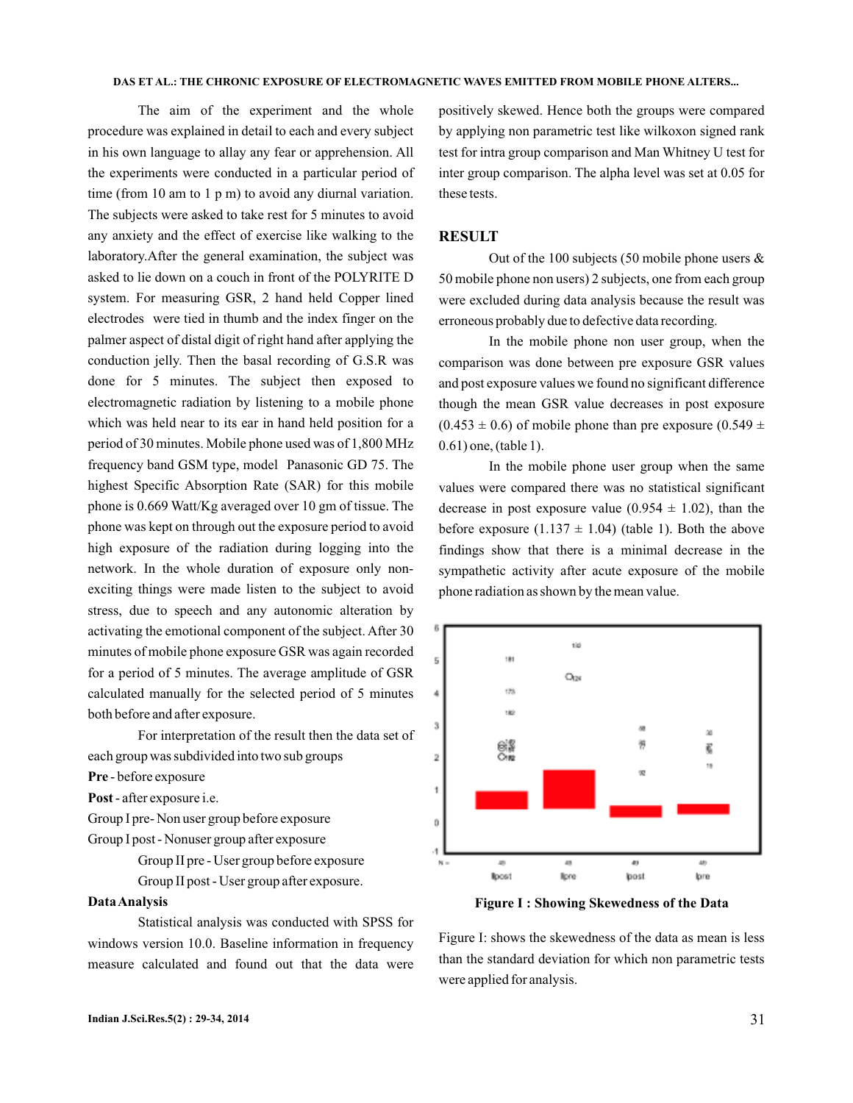#### **DAS ET AL.: THE CHRONIC EXPOSURE OF ELECTROMAGNETIC WAVES EMITTED FROM MOBILE PHONE ALTERS...**

The aim of the experiment and the whole procedure was explained in detail to each and every subject in his own language to allay any fear or apprehension. All the experiments were conducted in a particular period of time (from 10 am to 1 p m) to avoid any diurnal variation. The subjects were asked to take rest for 5 minutes to avoid any anxiety and the effect of exercise like walking to the laboratory.After the general examination, the subject was asked to lie down on a couch in front of the POLYRITE D system. For measuring GSR, 2 hand held Copper lined electrodes were tied in thumb and the index finger on the palmer aspect of distal digit of right hand after applying the conduction jelly. Then the basal recording of G.S.R was done for 5 minutes. The subject then exposed to electromagnetic radiation by listening to a mobile phone which was held near to its ear in hand held position for a period of 30 minutes. Mobile phone used was of 1,800 MHz frequency band GSM type, model Panasonic GD 75. The highest Specific Absorption Rate (SAR) for this mobile phone is 0.669 Watt/Kg averaged over 10 gm of tissue. The phone was kept on through out the exposure period to avoid high exposure of the radiation during logging into the network. In the whole duration of exposure only nonexciting things were made listen to the subject to avoid stress, due to speech and any autonomic alteration by activating the emotional component of the subject. After 30 minutes of mobile phone exposure GSR was again recorded for a period of 5 minutes. The average amplitude of GSR calculated manually for the selected period of 5 minutes both before and after exposure.

For interpretation of the result then the data set of each group was subdivided into two sub groups

Pre - before exposure

Post - after exposure i.e.

Group I pre- Non user group before exposure Group I post - Nonuser group after exposure

> Group II pre - User group before exposure Group II post - User group after exposure.

#### **DataAnalysis**

Statistical analysis was conducted with SPSS for windows version 10.0. Baseline information in frequency measure calculated and found out that the data were positively skewed. Hence both the groups were compared by applying non parametric test like wilkoxon signed rank test for intra group comparison and Man Whitney U test for inter group comparison. The alpha level was set at 0.05 for these tests.

## **RESULT**

Out of the 100 subjects (50 mobile phone users  $\&$ 50 mobile phone non users) 2 subjects, one from each group were excluded during data analysis because the result was erroneous probably due to defective data recording.

In the mobile phone non user group, when the comparison was done between pre exposure GSR values and post exposure values we found no significant difference though the mean GSR value decreases in post exposure  $(0.453 \pm 0.6)$  of mobile phone than pre exposure  $(0.549 \pm 0.6)$ 0.61) one, (table 1).

In the mobile phone user group when the same values were compared there was no statistical significant decrease in post exposure value (0.954  $\pm$  1.02), than the before exposure  $(1.137 \pm 1.04)$  (table 1). Both the above findings show that there is a minimal decrease in the sympathetic activity after acute exposure of the mobile phone radiation as shown by the mean value.



**Figure I : Showing Skewedness of the Data**

Figure I: shows the skewedness of the data as mean is less than the standard deviation for which non parametric tests were applied for analysis.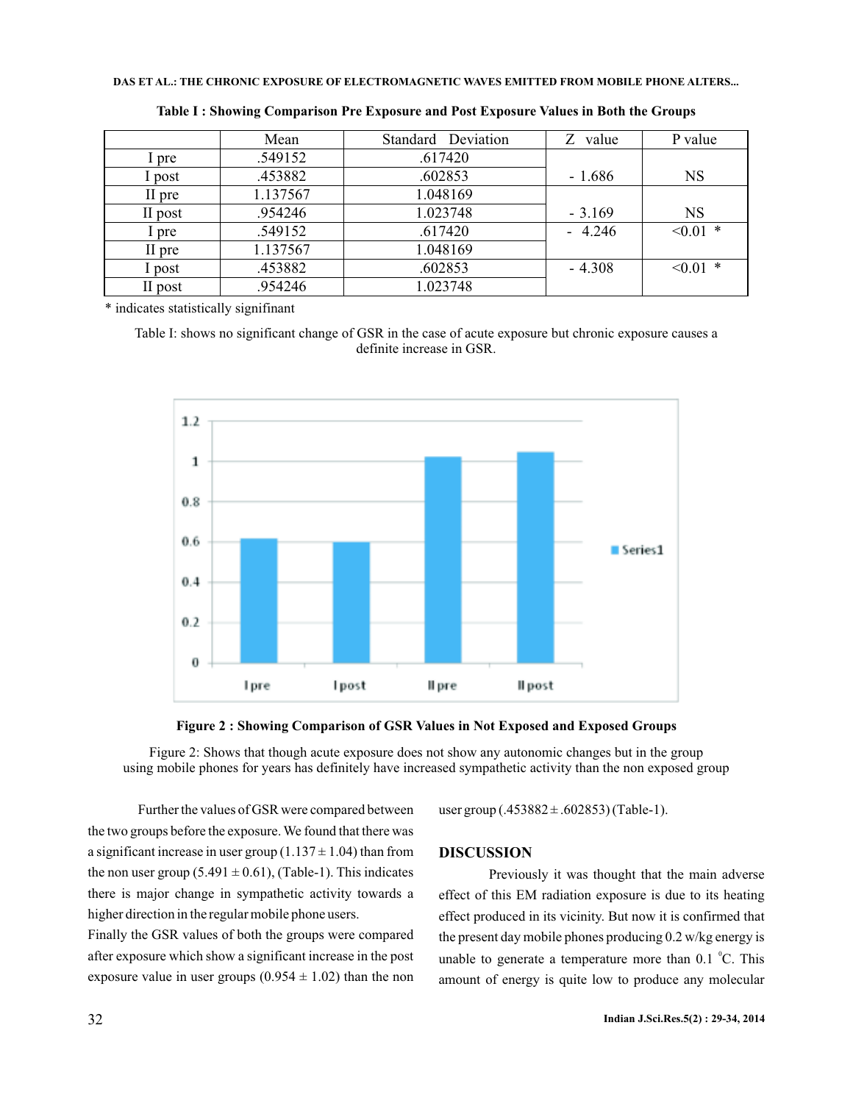### **DAS ET AL.: THE CHRONIC EXPOSURE OF ELECTROMAGNETIC WAVES EMITTED FROM MOBILE PHONE ALTERS...**

|         | Mean     | Standard Deviation | value<br>Z. | P value    |
|---------|----------|--------------------|-------------|------------|
| pre     | .549152  | .617420            |             |            |
| post    | .453882  | .602853            | $-1.686$    | <b>NS</b>  |
| II pre  | 1.137567 | 1.048169           |             |            |
| II post | .954246  | 1.023748           | $-3.169$    | <b>NS</b>  |
| . pre   | .549152  | .617420            | $-4.246$    | $< 0.01$ * |
| II pre  | 1.137567 | 1.048169           |             |            |
| l post  | .453882  | .602853            | $-4.308$    | $< 0.01$ * |
| II post | .954246  | 1.023748           |             |            |

**Table I : Showing Comparison Pre Exposure and Post Exposure Values in Both the Groups**

\* indicates statistically signifinant

Table I: shows no significant change of GSR in the case of acute exposure but chronic exposure causes a definite increase in GSR.



**Figure 2 : Showing Comparison of GSR Values in Not Exposed and Exposed Groups**

Figure 2: Shows that though acute exposure does not show any autonomic changes but in the group using mobile phones for years has definitely have increased sympathetic activity than the non exposed group

Further the values of GSR were compared between the two groups before the exposure.We found that there was a significant increase in user group  $(1.137 \pm 1.04)$  than from the non user group (5.491  $\pm$  0.61), (Table-1). This indicates there is major change in sympathetic activity towards a higher direction in the regular mobile phone users.

Finally the GSR values of both the groups were compared after exposure which show a significant increase in the post exposure value in user groups  $(0.954 \pm 1.02)$  than the non

user group  $(.453882 \pm .602853)$  (Table-1).

## **DISCUSSION**

Previously it was thought that the main adverse effect of this EM radiation exposure is due to its heating effect produced in its vicinity. But now it is confirmed that the present day mobile phones producing 0.2 w/kg energy is unable to generate a temperature more than  $0.1 \text{ }^{\circ}C$ . This amount of energy is quite low to produce any molecular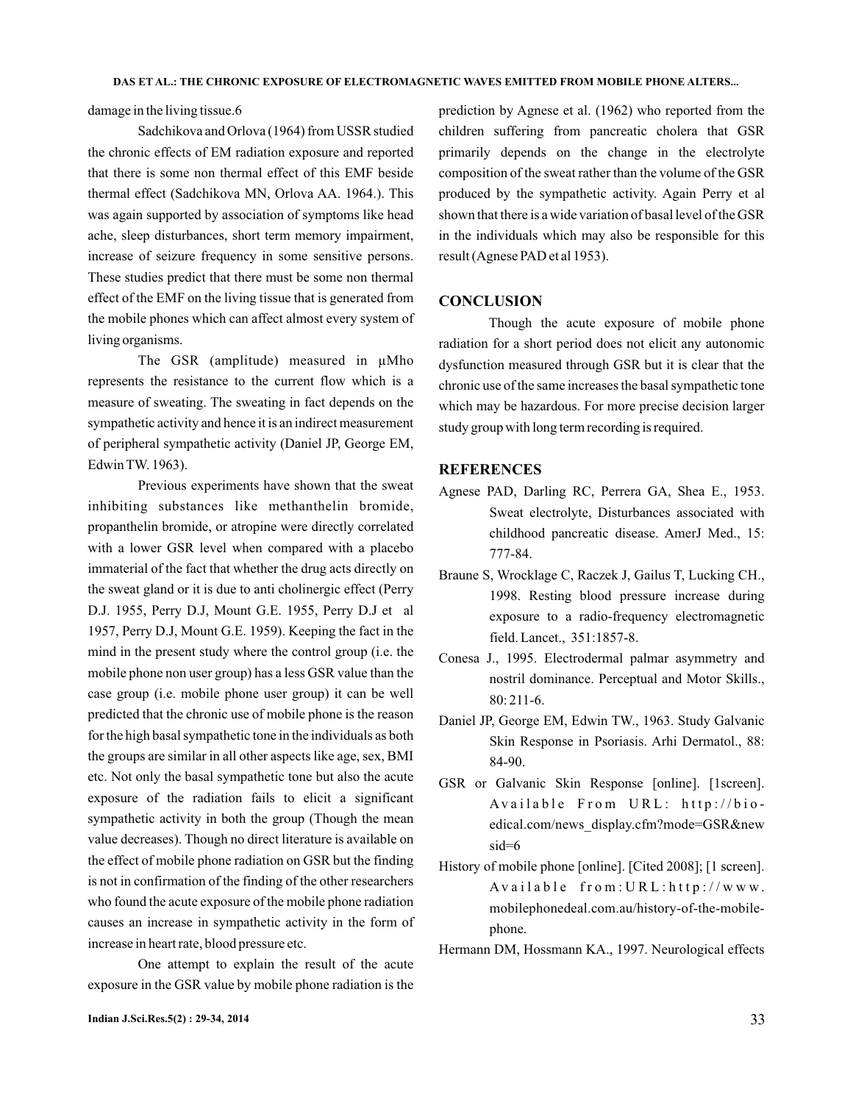damage in the living tissue.6

Sadchikova and Orlova (1964) from USSR studied the chronic effects of EM radiation exposure and reported that there is some non thermal effect of this EMF beside thermal effect (Sadchikova MN, Orlova AA. 1964.). This was again supported by association of symptoms like head ache, sleep disturbances, short term memory impairment, increase of seizure frequency in some sensitive persons. These studies predict that there must be some non thermal effect of the EMF on the living tissue that is generated from the mobile phones which can affect almost every system of living organisms.

The GSR (amplitude) measured in  $\mu M$ ho represents the resistance to the current flow which is a measure of sweating. The sweating in fact depends on the sympathetic activity and hence it is an indirect measurement of peripheral sympathetic activity (Daniel JP, George EM, Edwin TW. 1963).

Previous experiments have shown that the sweat inhibiting substances like methanthelin bromide, propanthelin bromide, or atropine were directly correlated with a lower GSR level when compared with a placebo immaterial of the fact that whether the drug acts directly on the sweat gland or it is due to anti cholinergic effect (Perry D.J. 1955, Perry D.J, Mount G.E. 1955, Perry D.J et al 1957, Perry D.J, Mount G.E. 1959). Keeping the fact in the mind in the present study where the control group (i.e. the mobile phone non user group) has a less GSR value than the case group (i.e. mobile phone user group) it can be well predicted that the chronic use of mobile phone is the reason for the high basal sympathetic tone in the individuals as both the groups are similar in all other aspects like age, sex, BMI etc. Not only the basal sympathetic tone but also the acute exposure of the radiation fails to elicit a significant sympathetic activity in both the group (Though the mean value decreases). Though no direct literature is available on the effect of mobile phone radiation on GSR but the finding is not in confirmation of the finding of the other researchers who found the acute exposure of the mobile phone radiation causes an increase in sympathetic activity in the form of increase in heart rate, blood pressure etc.

One attempt to explain the result of the acute exposure in the GSR value by mobile phone radiation is the prediction by Agnese et al. (1962) who reported from the children suffering from pancreatic cholera that GSR primarily depends on the change in the electrolyte composition of the sweat rather than the volume of the GSR produced by the sympathetic activity. Again Perry et al shown that there is a wide variation of basal level of the GSR in the individuals which may also be responsible for this result (Agnese PAD et al 1953).

#### **CONCLUSION**

Though the acute exposure of mobile phone radiation for a short period does not elicit any autonomic dysfunction measured through GSR but it is clear that the chronic use of the same increases the basal sympathetic tone which may be hazardous. For more precise decision larger study group with long term recording is required.

### **REFERENCES**

- Agnese PAD, Darling RC, Perrera GA, Shea E., 1953. Sweat electrolyte, Disturbances associated with childhood pancreatic disease. AmerJ Med., 15: 777-84.
- Braune S, Wrocklage C, Raczek J, Gailus T, Lucking CH., 1998. Resting blood pressure increase during exposure to a radio-frequency electromagnetic field. Lancet., 351:1857-8.
- Conesa J., 1995. Electrodermal palmar asymmetry and nostril dominance. Perceptual and Motor Skills., 80: 211-6.
- Daniel JP, George EM, Edwin TW., 1963. Study Galvanic Skin Response in Psoriasis. Arhi Dermatol., 88: 84-90.
- GSR or Galvanic Skin Response [online]. [1screen]. Available From URL: http://bioedical.com/news\_display.cfm?mode=GSR&new sid=6
- History of mobile phone [online]. [Cited 2008]; [1 screen].  $A$ vailable from: URL: http://www. mobilephonedeal.com.au/history-of-the-mobilephone.
- Hermann DM, Hossmann KA., 1997. Neurological effects